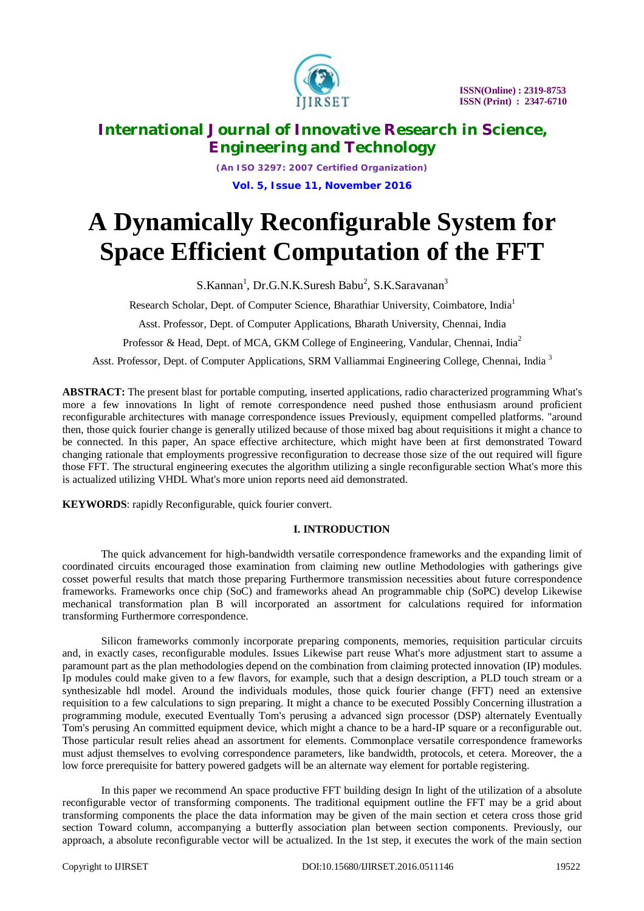

*(An ISO 3297: 2007 Certified Organization)* **Vol. 5, Issue 11, November 2016**

# **A Dynamically Reconfigurable System for Space Efficient Computation of the FFT**

S.Kannan<sup>1</sup>, Dr.G.N.K.Suresh Babu<sup>2</sup>, S.K.Saravanan<sup>3</sup>

Research Scholar, Dept. of Computer Science, Bharathiar University, Coimbatore, India<sup>1</sup>

Asst. Professor, Dept. of Computer Applications, Bharath University, Chennai, India

Professor & Head, Dept. of MCA, GKM College of Engineering, Vandular, Chennai, India<sup>2</sup>

Asst. Professor, Dept. of Computer Applications, SRM Valliammai Engineering College, Chennai, India <sup>3</sup>

**ABSTRACT:** The present blast for portable computing, inserted applications, radio characterized programming What's more a few innovations In light of remote correspondence need pushed those enthusiasm around proficient reconfigurable architectures with manage correspondence issues Previously, equipment compelled platforms. "around then, those quick fourier change is generally utilized because of those mixed bag about requisitions it might a chance to be connected. In this paper, An space effective architecture, which might have been at first demonstrated Toward changing rationale that employments progressive reconfiguration to decrease those size of the out required will figure those FFT. The structural engineering executes the algorithm utilizing a single reconfigurable section What's more this is actualized utilizing VHDL What's more union reports need aid demonstrated.

**KEYWORDS**: rapidly Reconfigurable, quick fourier convert.

### **I. INTRODUCTION**

The quick advancement for high-bandwidth versatile correspondence frameworks and the expanding limit of coordinated circuits encouraged those examination from claiming new outline Methodologies with gatherings give cosset powerful results that match those preparing Furthermore transmission necessities about future correspondence frameworks. Frameworks once chip (SoC) and frameworks ahead An programmable chip (SoPC) develop Likewise mechanical transformation plan B will incorporated an assortment for calculations required for information transforming Furthermore correspondence.

Silicon frameworks commonly incorporate preparing components, memories, requisition particular circuits and, in exactly cases, reconfigurable modules. Issues Likewise part reuse What's more adjustment start to assume a paramount part as the plan methodologies depend on the combination from claiming protected innovation (IP) modules. Ip modules could make given to a few flavors, for example, such that a design description, a PLD touch stream or a synthesizable hdl model. Around the individuals modules, those quick fourier change (FFT) need an extensive requisition to a few calculations to sign preparing. It might a chance to be executed Possibly Concerning illustration a programming module, executed Eventually Tom's perusing a advanced sign processor (DSP) alternately Eventually Tom's perusing An committed equipment device, which might a chance to be a hard-IP square or a reconfigurable out. Those particular result relies ahead an assortment for elements. Commonplace versatile correspondence frameworks must adjust themselves to evolving correspondence parameters, like bandwidth, protocols, et cetera. Moreover, the a low force prerequisite for battery powered gadgets will be an alternate way element for portable registering.

In this paper we recommend An space productive FFT building design In light of the utilization of a absolute reconfigurable vector of transforming components. The traditional equipment outline the FFT may be a grid about transforming components the place the data information may be given of the main section et cetera cross those grid section Toward column, accompanying a butterfly association plan between section components. Previously, our approach, a absolute reconfigurable vector will be actualized. In the 1st step, it executes the work of the main section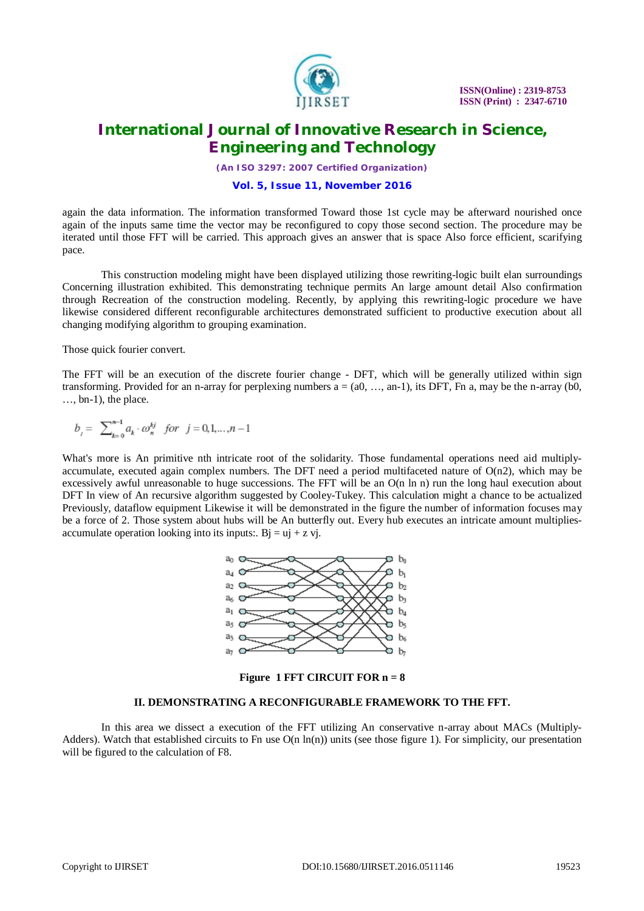

*(An ISO 3297: 2007 Certified Organization)*

#### **Vol. 5, Issue 11, November 2016**

again the data information. The information transformed Toward those 1st cycle may be afterward nourished once again of the inputs same time the vector may be reconfigured to copy those second section. The procedure may be iterated until those FFT will be carried. This approach gives an answer that is space Also force efficient, scarifying pace.

This construction modeling might have been displayed utilizing those rewriting-logic built elan surroundings Concerning illustration exhibited. This demonstrating technique permits An large amount detail Also confirmation through Recreation of the construction modeling. Recently, by applying this rewriting-logic procedure we have likewise considered different reconfigurable architectures demonstrated sufficient to productive execution about all changing modifying algorithm to grouping examination.

Those quick fourier convert.

The FFT will be an execution of the discrete fourier change - DFT, which will be generally utilized within sign transforming. Provided for an n-array for perplexing numbers  $a = (a0, \ldots, an-1)$ , its DFT, Fn a, may be the n-array (b0, …, bn-1), the place.

$$
b_j = \sum\nolimits_{k=0}^{n-1} a_k \cdot \omega_n^{kj} \quad \textit{for} \quad j = 0, 1, \ldots, n-1
$$

What's more is An primitive nth intricate root of the solidarity. Those fundamental operations need aid multiplyaccumulate, executed again complex numbers. The DFT need a period multifaceted nature of  $O(n2)$ , which may be excessively awful unreasonable to huge successions. The FFT will be an O(n ln n) run the long haul execution about DFT In view of An recursive algorithm suggested by Cooley-Tukey. This calculation might a chance to be actualized Previously, dataflow equipment Likewise it will be demonstrated in the figure the number of information focuses may be a force of 2. Those system about hubs will be An butterfly out. Every hub executes an intricate amount multipliesaccumulate operation looking into its inputs:.  $Bi = uj + z vi$ .



**Figure 1 FFT CIRCUIT FOR n = 8**

### **II. DEMONSTRATING A RECONFIGURABLE FRAMEWORK TO THE FFT.**

In this area we dissect a execution of the FFT utilizing An conservative n-array about MACs (Multiply-Adders). Watch that established circuits to Fn use  $O(n \ln(n))$  units (see those figure 1). For simplicity, our presentation will be figured to the calculation of F8.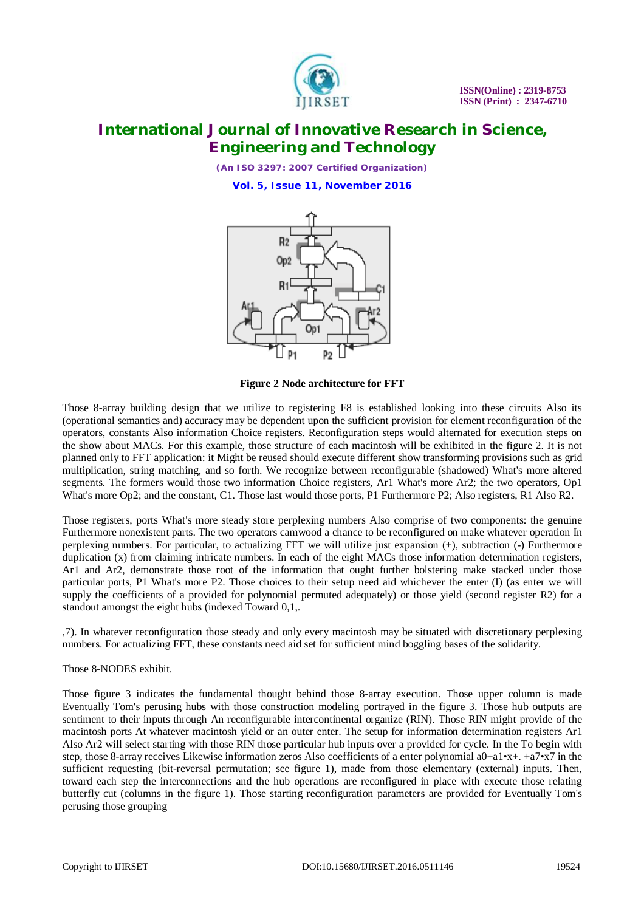

*(An ISO 3297: 2007 Certified Organization)* **Vol. 5, Issue 11, November 2016**



**Figure 2 Node architecture for FFT**

Those 8-array building design that we utilize to registering F8 is established looking into these circuits Also its (operational semantics and) accuracy may be dependent upon the sufficient provision for element reconfiguration of the operators, constants Also information Choice registers. Reconfiguration steps would alternated for execution steps on the show about MACs. For this example, those structure of each macintosh will be exhibited in the figure 2. It is not planned only to FFT application: it Might be reused should execute different show transforming provisions such as grid multiplication, string matching, and so forth. We recognize between reconfigurable (shadowed) What's more altered segments. The formers would those two information Choice registers, Ar1 What's more Ar2; the two operators, Op1 What's more Op2; and the constant, C1. Those last would those ports, P1 Furthermore P2; Also registers, R1 Also R2.

Those registers, ports What's more steady store perplexing numbers Also comprise of two components: the genuine Furthermore nonexistent parts. The two operators camwood a chance to be reconfigured on make whatever operation In perplexing numbers. For particular, to actualizing FFT we will utilize just expansion (+), subtraction (-) Furthermore duplication (x) from claiming intricate numbers. In each of the eight MACs those information determination registers, Ar1 and Ar2, demonstrate those root of the information that ought further bolstering make stacked under those particular ports, P1 What's more P2. Those choices to their setup need aid whichever the enter (I) (as enter we will supply the coefficients of a provided for polynomial permuted adequately) or those yield (second register R2) for a standout amongst the eight hubs (indexed Toward 0,1,.

,7). In whatever reconfiguration those steady and only every macintosh may be situated with discretionary perplexing numbers. For actualizing FFT, these constants need aid set for sufficient mind boggling bases of the solidarity.

### Those 8-NODES exhibit.

Those figure 3 indicates the fundamental thought behind those 8-array execution. Those upper column is made Eventually Tom's perusing hubs with those construction modeling portrayed in the figure 3. Those hub outputs are sentiment to their inputs through An reconfigurable intercontinental organize (RIN). Those RIN might provide of the macintosh ports At whatever macintosh yield or an outer enter. The setup for information determination registers Ar1 Also Ar2 will select starting with those RIN those particular hub inputs over a provided for cycle. In the To begin with step, those 8-array receives Likewise information zeros Also coefficients of a enter polynomial a0+a1•x+. +a7•x7 in the sufficient requesting (bit-reversal permutation; see figure 1), made from those elementary (external) inputs. Then, toward each step the interconnections and the hub operations are reconfigured in place with execute those relating butterfly cut (columns in the figure 1). Those starting reconfiguration parameters are provided for Eventually Tom's perusing those grouping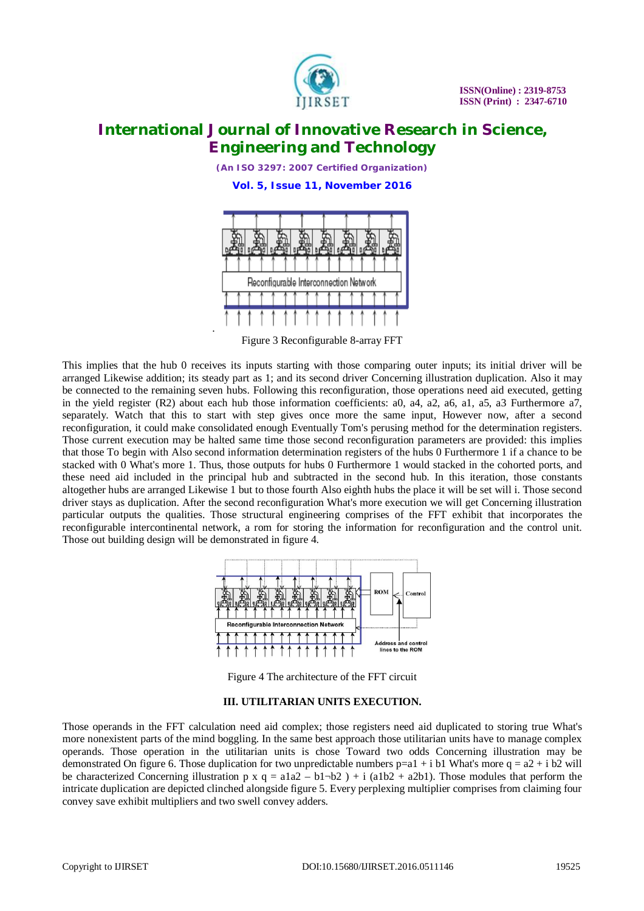

*(An ISO 3297: 2007 Certified Organization)* **Vol. 5, Issue 11, November 2016**



Figure 3 Reconfigurable 8-array FFT

This implies that the hub 0 receives its inputs starting with those comparing outer inputs; its initial driver will be arranged Likewise addition; its steady part as 1; and its second driver Concerning illustration duplication. Also it may be connected to the remaining seven hubs. Following this reconfiguration, those operations need aid executed, getting in the yield register (R2) about each hub those information coefficients: a0, a4, a2, a6, a1, a5, a3 Furthermore a7, separately. Watch that this to start with step gives once more the same input, However now, after a second reconfiguration, it could make consolidated enough Eventually Tom's perusing method for the determination registers. Those current execution may be halted same time those second reconfiguration parameters are provided: this implies that those To begin with Also second information determination registers of the hubs 0 Furthermore 1 if a chance to be stacked with 0 What's more 1. Thus, those outputs for hubs 0 Furthermore 1 would stacked in the cohorted ports, and these need aid included in the principal hub and subtracted in the second hub. In this iteration, those constants altogether hubs are arranged Likewise 1 but to those fourth Also eighth hubs the place it will be set will i. Those second driver stays as duplication. After the second reconfiguration What's more execution we will get Concerning illustration particular outputs the qualities. Those structural engineering comprises of the FFT exhibit that incorporates the reconfigurable intercontinental network, a rom for storing the information for reconfiguration and the control unit. Those out building design will be demonstrated in figure 4.



Figure 4 The architecture of the FFT circuit

### **III. UTILITARIAN UNITS EXECUTION.**

Those operands in the FFT calculation need aid complex; those registers need aid duplicated to storing true What's more nonexistent parts of the mind boggling. In the same best approach those utilitarian units have to manage complex operands. Those operation in the utilitarian units is chose Toward two odds Concerning illustration may be demonstrated On figure 6. Those duplication for two unpredictable numbers  $p=a1 + i b1$  What's more  $q = a2 + i b2$  will be characterized Concerning illustration p x  $q = a1a2 - b1-b2$  ) + i (a1b2 + a2b1). Those modules that perform the intricate duplication are depicted clinched alongside figure 5. Every perplexing multiplier comprises from claiming four convey save exhibit multipliers and two swell convey adders.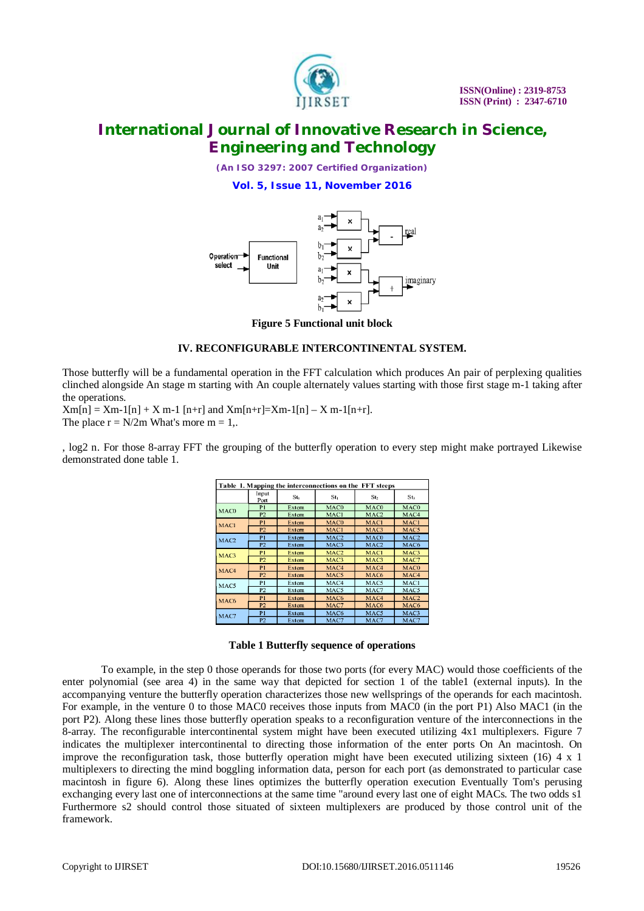

*(An ISO 3297: 2007 Certified Organization)*

**Vol. 5, Issue 11, November 2016**



**Figure 5 Functional unit block**

### **IV. RECONFIGURABLE INTERCONTINENTAL SYSTEM.**

Those butterfly will be a fundamental operation in the FFT calculation which produces An pair of perplexing qualities clinched alongside An stage m starting with An couple alternately values starting with those first stage m-1 taking after the operations.

 $Xm[n] = Xm-1[n] + X m-1[n+r]$  and  $Xm[n+r] = Xm-1[n] - X m-1[n+r]$ . The place  $r = N/2m$  What's more  $m = 1$ ,.

, log2 n. For those 8-array FFT the grouping of the butterfly operation to every step might make portrayed Likewise demonstrated done table 1.

| Table 1. Mapping the interconnections on the FFT steeps |                |                 |                  |                  |                  |  |  |
|---------------------------------------------------------|----------------|-----------------|------------------|------------------|------------------|--|--|
|                                                         | Input<br>Port  | St <sub>0</sub> | St <sub>1</sub>  | St <sub>2</sub>  | St <sub>3</sub>  |  |  |
| MAC <sub>0</sub>                                        | P <sub>1</sub> | Extern          | MAC0             | MAC <sub>0</sub> | MAC <sub>0</sub> |  |  |
|                                                         | P2             | Extern          | MAC1             | MAC <sub>2</sub> | MAC4             |  |  |
| MAC1                                                    | P1             | <b>Extern</b>   | MAC <sub>0</sub> | <b>MACI</b>      | MAC1             |  |  |
|                                                         | P <sub>2</sub> | Extern          | MAC1             | MAC <sub>3</sub> | MAC5             |  |  |
| MAC <sub>2</sub>                                        | P1             | Extern          | MAC <sub>2</sub> | MAC <sub>0</sub> | MAC <sub>2</sub> |  |  |
|                                                         | P2             | Extern          | MAC3             | MAC <sub>2</sub> | MAC <sub>6</sub> |  |  |
| MAC <sub>3</sub>                                        | P <sub>1</sub> | Extern          | MAC <sub>2</sub> | MAC1             | MAC <sub>3</sub> |  |  |
|                                                         | P <sub>2</sub> | Extern          | MAC <sub>3</sub> | MAC <sub>3</sub> | MAC7             |  |  |
| MAC4                                                    | P <sub>1</sub> | Extern          | MAC4             | MAC4             | MAC <sub>0</sub> |  |  |
|                                                         | P2             | Extern          | MAC <sub>5</sub> | MAC <sub>6</sub> | MAC4             |  |  |
| MAC5                                                    | P <sub>1</sub> | Extern          | MAC4             | MAC5             | MAC1             |  |  |
|                                                         | P <sub>2</sub> | Extern          | MAC5             | MAC7             | MAC5             |  |  |
| MAC <sub>6</sub>                                        | P <sub>1</sub> | <b>Extern</b>   | MAC <sub>6</sub> | MAC4             | MAC <sub>2</sub> |  |  |
|                                                         | P2             | Extern          | MAC7             | MAC <sub>6</sub> | MAC <sub>6</sub> |  |  |
| MAC7                                                    | P <sub>1</sub> | Extern          | MAC <sub>6</sub> | MAC <sub>5</sub> | MAC <sub>3</sub> |  |  |
|                                                         | P <sub>2</sub> | Extern          | MAC7             | MAC7             | MAC7             |  |  |

#### **Table 1 Butterfly sequence of operations**

To example, in the step 0 those operands for those two ports (for every MAC) would those coefficients of the enter polynomial (see area 4) in the same way that depicted for section 1 of the table1 (external inputs). In the accompanying venture the butterfly operation characterizes those new wellsprings of the operands for each macintosh. For example, in the venture 0 to those MAC0 receives those inputs from MAC0 (in the port P1) Also MAC1 (in the port P2). Along these lines those butterfly operation speaks to a reconfiguration venture of the interconnections in the 8-array. The reconfigurable intercontinental system might have been executed utilizing 4x1 multiplexers. Figure 7 indicates the multiplexer intercontinental to directing those information of the enter ports On An macintosh. On improve the reconfiguration task, those butterfly operation might have been executed utilizing sixteen (16)  $4 \times 1$ multiplexers to directing the mind boggling information data, person for each port (as demonstrated to particular case macintosh in figure 6). Along these lines optimizes the butterfly operation execution Eventually Tom's perusing exchanging every last one of interconnections at the same time "around every last one of eight MACs. The two odds s1 Furthermore s2 should control those situated of sixteen multiplexers are produced by those control unit of the framework.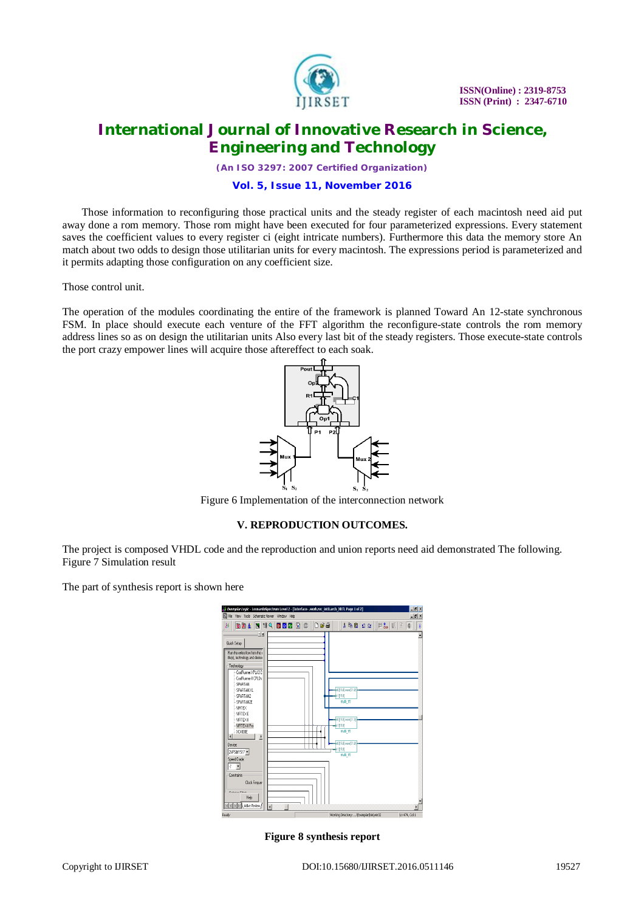

*(An ISO 3297: 2007 Certified Organization)*

#### **Vol. 5, Issue 11, November 2016**

Those information to reconfiguring those practical units and the steady register of each macintosh need aid put away done a rom memory. Those rom might have been executed for four parameterized expressions. Every statement saves the coefficient values to every register ci (eight intricate numbers). Furthermore this data the memory store An match about two odds to design those utilitarian units for every macintosh. The expressions period is parameterized and it permits adapting those configuration on any coefficient size.

Those control unit.

The operation of the modules coordinating the entire of the framework is planned Toward An 12-state synchronous FSM. In place should execute each venture of the FFT algorithm the reconfigure-state controls the rom memory address lines so as on design the utilitarian units Also every last bit of the steady registers. Those execute-state controls the port crazy empower lines will acquire those aftereffect to each soak.



Figure 6 Implementation of the interconnection network

### **V. REPRODUCTION OUTCOMES.**

The project is composed VHDL code and the reproduction and union reports need aid demonstrated The following. Figure 7 Simulation result

The part of synthesis report is shown here

| Exemplar Logic - LeonardoSpectrum Level 2 - [Interface- .work.rec_int0.arch_XRTL Page 1 of 2]<br>SSI File View Tools Schematic Viewer Window Help                                                                                                                                                                                                                                                                                                           |                                                                                                                                              |                                                                                                                                                            | $  p $ $x$<br>$ \theta$ $x$ |
|-------------------------------------------------------------------------------------------------------------------------------------------------------------------------------------------------------------------------------------------------------------------------------------------------------------------------------------------------------------------------------------------------------------------------------------------------------------|----------------------------------------------------------------------------------------------------------------------------------------------|------------------------------------------------------------------------------------------------------------------------------------------------------------|-----------------------------|
| 00454955560006<br>B<br>Quick Setup<br>Run the entire flow from this o<br>file(s), technology and desired<br>Technology<br>CoolFlunner XPLA3C<br>Conffiumer-II CPI Dx<br>SPARTAN<br>IX MATRARS<br>SPARTAN2<br>- SPARTAN2E<br>-VIRTEX<br>-VIRTEXE<br>- VIRTEX-<br>VIRTEX-II Pro<br>XC4000E<br>$\left  \right $<br>в<br>Device<br>2VP50f1517<br>Speed Grade:<br>17<br>$\overline{\phantom{a}}$<br>Constraints<br>Clock Frequen<br><b>Darling Filled</b><br>Heb | m0[15:0]ouxx(31:0]<br>n1[15:0]<br>nuti fft<br>mf[15:0]ouo(D1:0]<br>$ln 1$ [15:0]<br>muti fft<br>mf[15:0]ouor[31:0]<br>in1[15:0]<br>multi fft | $\lambda$ to the set of $\vert\,\vert$ is the set of $\vert\,\vert$ is the set of $\vert\,\vert$ is the set of $\vert\,\vert$ is the set of $\vert\,\vert$ |                             |
| Ŧ<br>Ready                                                                                                                                                                                                                                                                                                                                                                                                                                                  | Working Directory:  \Exemplar\bin\win32                                                                                                      |                                                                                                                                                            | Ln 474, Col 1               |

**Figure 8 synthesis report**